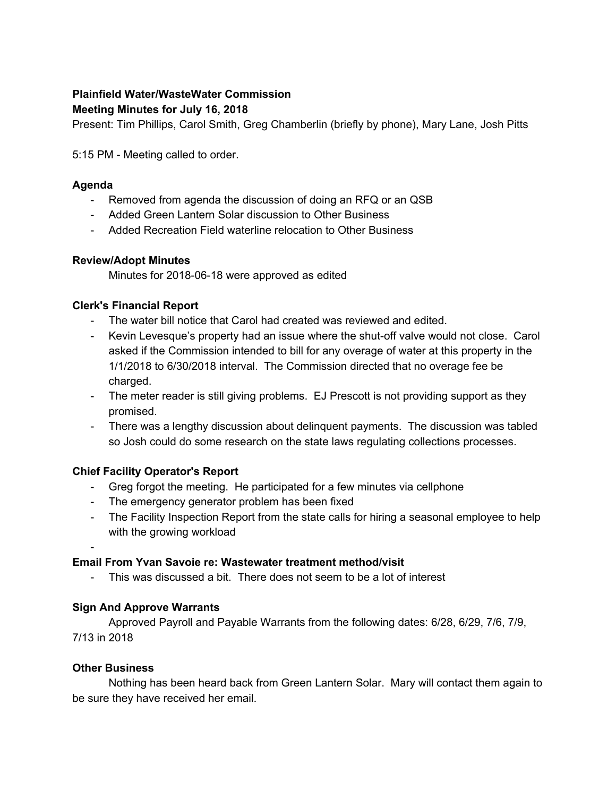# **Plainfield Water/WasteWater Commission**

#### **Meeting Minutes for July 16, 2018**

Present: Tim Phillips, Carol Smith, Greg Chamberlin (briefly by phone), Mary Lane, Josh Pitts

5:15 PM - Meeting called to order.

#### **Agenda**

- Removed from agenda the discussion of doing an RFQ or an QSB
- Added Green Lantern Solar discussion to Other Business
- Added Recreation Field waterline relocation to Other Business

#### **Review/Adopt Minutes**

Minutes for 2018-06-18 were approved as edited

# **Clerk's Financial Report**

- The water bill notice that Carol had created was reviewed and edited.
- Kevin Levesque's property had an issue where the shut-off valve would not close. Carol asked if the Commission intended to bill for any overage of water at this property in the 1/1/2018 to 6/30/2018 interval. The Commission directed that no overage fee be charged.
- The meter reader is still giving problems. EJ Prescott is not providing support as they promised.
- There was a lengthy discussion about delinquent payments. The discussion was tabled so Josh could do some research on the state laws regulating collections processes.

# **Chief Facility Operator's Report**

- Greg forgot the meeting. He participated for a few minutes via cellphone
- The emergency generator problem has been fixed
- The Facility Inspection Report from the state calls for hiring a seasonal employee to help with the growing workload
- -

# **Email From Yvan Savoie re: Wastewater treatment method/visit**

- This was discussed a bit. There does not seem to be a lot of interest

# **Sign And Approve Warrants**

Approved Payroll and Payable Warrants from the following dates: 6/28, 6/29, 7/6, 7/9, 7/13 in 2018

# **Other Business**

Nothing has been heard back from Green Lantern Solar. Mary will contact them again to be sure they have received her email.